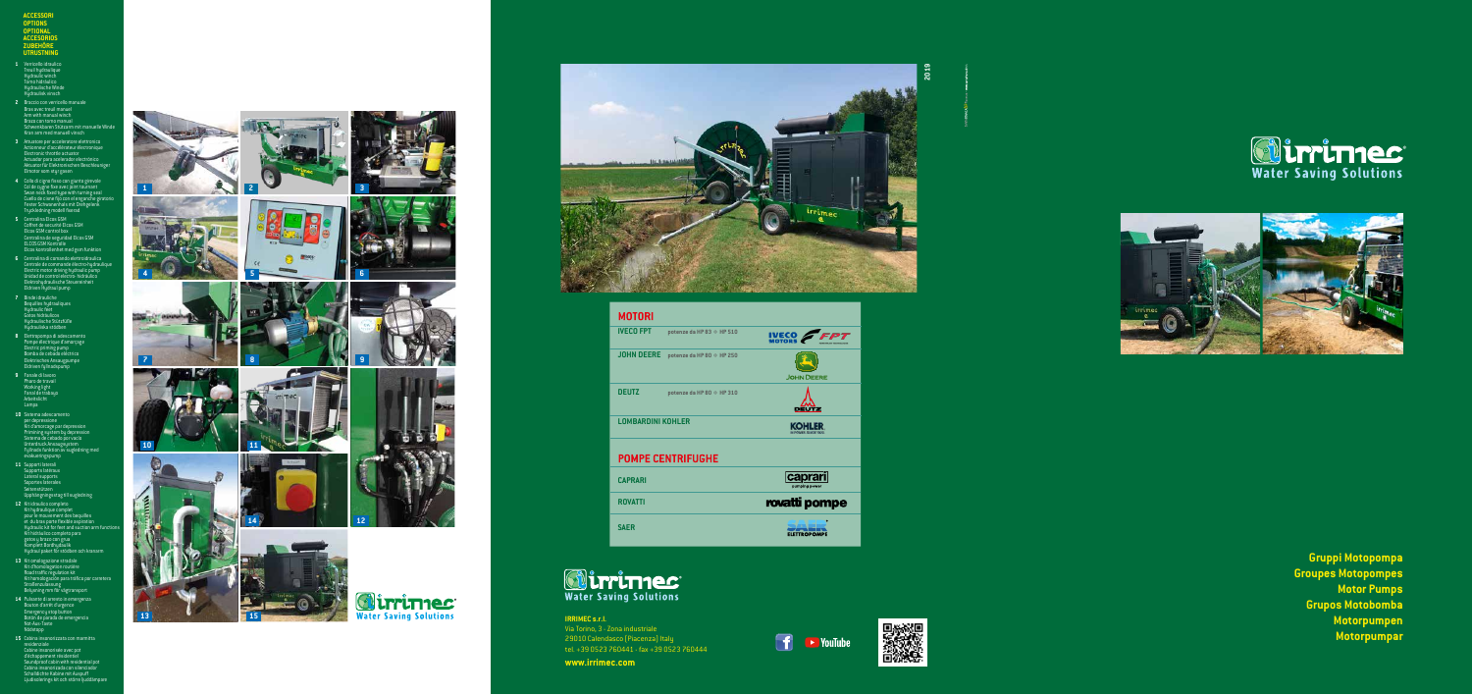**1**

**3**

**9**













**6**







**Gruppi Motopompa Groupes Motopompes Motor Pumps Grupos Motobomba Motorpumpen Motorpumpar**











ELETTROPOMPE





# **IRRIMEC s.r.l.**

Via Torino, 3 - Zona industriale 29010 Calendasco (Piacenza) Italy tel. +39 0523 760441 - fax +39 0523 760444

**www.irrimec.com**









**15** Cabina insonorizzata con marmitta residenziale Cabine insonorisée avec pot d'échappement résidentiel Soundproof cabin with residential pot Cabina insonorizada con silenciador Schalldichte Kabine mit Auspuff Ljudisolerings kit och större ljuddämpare



**ACCESSORI OPTIONS OPTIONAL ACCESORIOS ZUBEHÖRE UTRUSTNING**

- **1** Verricello idraulico<br>Treuil hydraulique<br>Hydraulic winch<br>Torno hidráulico<br>Hydraulisk vinsch<br>Hydraulisk vinsch
- **2** Braccio con verricello manuale Bras avec treuil manuel Arm with manual winch Brazo con torno manual Schwenkbaren Stützarm mit manuelle Winde Kran arm med manuell vinsch
- **3** Attuatore per acceleratore elettronico<br>
Actionneur d'accélérateur électronique<br>
Electronic throttle actuator<br>
Actuador para acelerador electrónico<br>
Aktuator für Elektronischen Beschleuniger<br>
Elmotor som styr gasen
- 4 Collo di cigno fisso con giunto girevole<br>Col de cygne fixe avec joint tournant<br>Swan neck fixed type with turning seal<br>Cuello de cisne fijo con el enganche giratorio<br>Fester Schwanenhals mit Drehgelenk Tryckledning modell fixerad
- **5** Centralina Elcos GSM<br>Coffret de securité Elcos GSM<br>Elcos GSM control box Centralina de seguridad Elcos GSM ELCOS GSM Kontrolle Elcos kontrollenhet med gsm funktion
- e<br>**6** Centralina di comando elettroidraulica<br>Centrale de commande électro-hydrauli Unidad de control electro- hidráulico Elektrohydraulische Steuereinheit Eldriven Hydraul pump
- **7** Binde idrauliche<br>Bequilles hydrauliques<br>Hydraulic feet<br>Gatos hidráulicos<br>Hydraulische Stützfüße<br>Hydrauliska stödben
- **8** Elettropompa di adescamento<br>
Pompe électrique d'amorçage<br>
Electric priming pump<br>
Bomba de cebado eléctrico<br>
Elektrisches Ansaugpumpe<br>
Eldriven fyllnadspump
- **9** Fanale di lavoro<br>Pharo de travail<br>Working light<br>Fanal de trabayo<br>Arbeitslicht<br>Lampa
- **10** Sistema adescamento per depressione<br>Kit d'amorcage par depression<br>Primining system by depression<br>Sistema de cebado por vacío<br>Unterdruck Ansaugsystem<br>Fyllnads funktion av sugledning med<br>evakueringspump
- **11** Supporti laterali Supports latéraux Lateral supports Soportes laterales Seitenstützen
- Upphängningsstag till sugledning **12** Kit idraulico completo<br>Kit hydraulique complet pour le mouvement des b pour le mouvement des bequilles<br>et du bras porte flexible aspiration<br>Hydraulic kit for feet and suction arm Kit hidráulico completo para gatos y brazo con grua Komplett Bordhydaulik Hydraul paket för stödben och kranarm
- **13** Kit omologazione stradale<br>Kit d'homologation routière<br>Road traffic regulation kit<br>Kit homologación para tráfico por carretera<br>Straßenzulassung<br>Belysning mm för vägtransport
- **14** Pulsante di arresto in emergenza<br>
Bouton d'arrêt d'urgence<br>
Emergency stop button<br>
Botón de parada de emergencia<br>
Not-Aus-Taste<br>
Nödstopp

| MOTORI                   |                           |
|--------------------------|---------------------------|
| <b>IVECO FPT</b>         | potenze da HP 83 ÷ HP 510 |
| <b>JOHN DEERE</b>        | potenze da HP 80 ÷ HP 250 |
| <b>DEUTZ</b>             | potenze da HP 80 ÷ HP 310 |
| LOMBARDINI KOHLER        |                           |
| <b>POMPE CENTRIFUGHE</b> |                           |
| <b>CAPRARI</b>           |                           |
| <b>ROVATTI</b>           |                           |
| <b>SAER</b>              |                           |